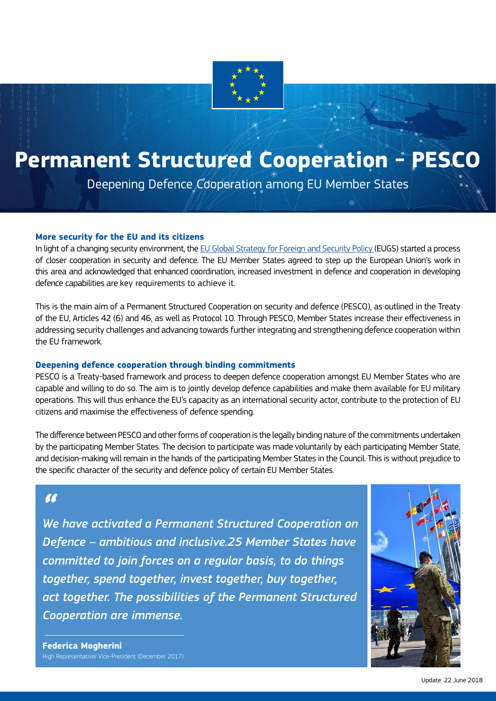

# **Permanent Structured Cooperation - PESCO**

Deepening Defence Cooperation among EU Member States

#### **More security for the EU and its citizens**

In light of a changing security environment, the [EU Global Strategy for Foreign and Security Policy](https://europa.eu/globalstrategy/en/global-strategy-foreign-and-security-policy-european-union) (EUGS) started a process of closer cooperation in security and defence. The EU Member States agreed to step up the European Union's work in this area and acknowledged that enhanced coordination, increased investment in defence and cooperation in developing defence capabilities are key requirements to achieve it.

This is the main aim of a Permanent Structured Cooperation on security and defence (PESCO), as outlined in the Treaty of the EU, Articles 42 (6) and 46, as well as Protocol 10. Through PESCO, Member States increase their effectiveness in addressing security challenges and advancing towards further integrating and strengthening defence cooperation within the EU framework.

#### **Deepening defence cooperation through binding commitments**

PESCO is a Treaty-based framework and process to deepen defence cooperation amongst EU Member States who are capable and willing to do so. The aim is to jointly develop defence capabilities and make them available for EU military operations. This will thus enhance the EU's capacity as an international security actor, contribute to the protection of EU citizens and maximise the effectiveness of defence spending.

The difference between PESCO and other forms of cooperation is the legally binding nature of the commitments undertaken by the participating Member States. The decision to participate was made voluntarily by each participating Member State, and decision-making will remain in the hands of the participating Member States in the Council. This is without prejudice to the specific character of the security and defence policy of certain EU Member States.

## $\overline{\mathbf{M}}$

*We have activated a Permanent Structured Cooperation on Defence – ambitious and inclusive.25 Member States have committed to join forces on a regular basis, to do things together, spend together, invest together, buy together, act together. The possibilities of the Permanent Structured Cooperation are immense.* 



**Federica Mogherini** High Representative/ Vice-President (December 2017)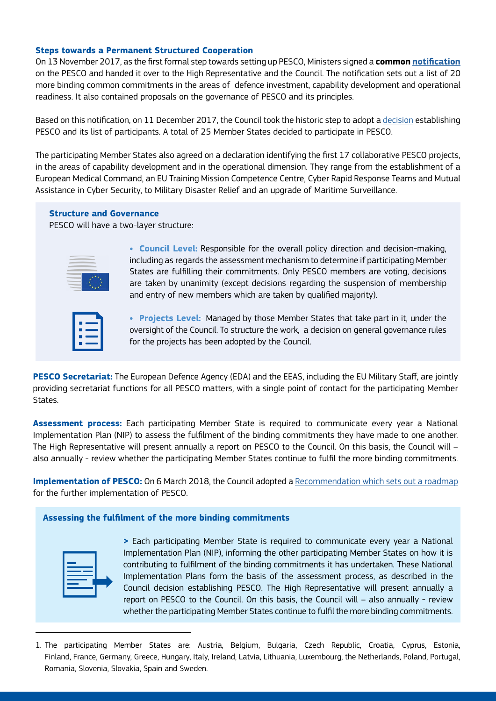#### **Steps towards a Permanent Structured Cooperation**

On 13 November 2017, as the first formal step towards setting up PESCO, Ministers signed a **common [notification](http://www.consilium.europa.eu/media/31511/171113-pesco-notification.pdf)** on the PESCO and handed it over to the High Representative and the Council. The notification sets out a list of 20 more binding common commitments in the areas of defence investment, capability development and operational readiness. It also contained proposals on the governance of PESCO and its principles.

Based on this notification, on 11 December 2017, the Council took the historic step to adopt a [decision](http://www.consilium.europa.eu/en/press/press-releases/2017/12/11/defence-cooperation-pesco-25-member-states-participating/) establishing PESCO and its list of participants. A total of 25 Member States decided to participate in PESCO.

The participating Member States also agreed on a declaration identifying the first 17 collaborative PESCO projects, in the areas of capability development and in the operational dimension. They range from the establishment of a European Medical Command, an EU Training Mission Competence Centre, Cyber Rapid Response Teams and Mutual Assistance in Cyber Security, to Military Disaster Relief and an upgrade of Maritime Surveillance.

#### **Structure and Governance**

PESCO will have a two-layer structure:



**• Council Level:** Responsible for the overall policy direction and decision-making, including as regards the assessment mechanism to determine if participating Member States are fulfilling their commitments. Only PESCO members are voting, decisions are taken by unanimity (except decisions regarding the suspension of membership and entry of new members which are taken by qualified majority).

**• Projects Level::** Managed by those Member States that take part in it, under the oversight of the Council. To structure the work, a decision on general governance rules for the projects has been adopted by the Council.

**PESCO Secretariat:** The European Defence Agency (EDA) and the EEAS, including the EU Military Staff, are jointly providing secretariat functions for all PESCO matters, with a single point of contact for the participating Member States.

**Assessment process:** Each participating Member State is required to communicate every year a National Implementation Plan (NIP) to assess the fulfilment of the binding commitments they have made to one another. The High Representative will present annually a report on PESCO to the Council. On this basis, the Council will – also annually - review whether the participating Member States continue to fulfil the more binding commitments.

**Implementation of PESCO:** On 6 March 2018, the Council adopted a [Recommendation which sets out a roadmap](http://data.consilium.europa.eu/doc/document/ST-6588-2018-REV-1/en/pdf) for the further implementation of PESCO.

#### **Assessing the fulfilment of the more binding commitments**

**>** Each participating Member State is required to communicate every year a National Implementation Plan (NIP), informing the other participating Member States on how it is contributing to fulfilment of the binding commitments it has undertaken. These National Implementation Plans form the basis of the assessment process, as described in the Council decision establishing PESCO. The High Representative will present annually a report on PESCO to the Council. On this basis, the Council will – also annually - review whether the participating Member States continue to fulfil the more binding commitments.

<sup>1.</sup> The participating Member States are: Austria, Belgium, Bulgaria, Czech Republic, Croatia, Cyprus, Estonia, Finland, France, Germany, Greece, Hungary, Italy, Ireland, Latvia, Lithuania, Luxembourg, the Netherlands, Poland, Portugal, Romania, Slovenia, Slovakia, Spain and Sweden.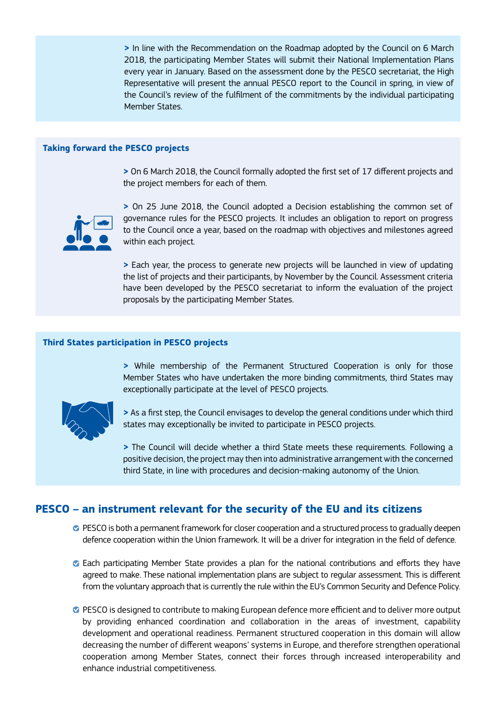**>** In line with the Recommendation on the Roadmap adopted by the Council on 6 March 2018, the participating Member States will submit their National Implementation Plans every year in January. Based on the assessment done by the PESCO secretariat, the High Representative will present the annual PESCO report to the Council in spring, in view of the Council's review of the fulfilment of the commitments by the individual participating Member States.

#### **Taking forward the PESCO projects**

**>** On 6 March 2018, the Council formally adopted the first set of 17 different projects and the project members for each of them.



**>** On 25 June 2018, the Council adopted a Decision establishing the common set of governance rules for the PESCO projects. It includes an obligation to report on progress to the Council once a year, based on the roadmap with objectives and milestones agreed within each project.

**>** Each year, the process to generate new projects will be launched in view of updating the list of projects and their participants, by November by the Council. Assessment criteria have been developed by the PESCO secretariat to inform the evaluation of the project proposals by the participating Member States.

#### **Third States participation in PESCO projects**

**>** While membership of the Permanent Structured Cooperation is only for those Member States who have undertaken the more binding commitments, third States may exceptionally participate at the level of PESCO projects.



**>** As a first step, the Council envisages to develop the general conditions under which third states may exceptionally be invited to participate in PESCO projects.

**>** The Council will decide whether a third State meets these requirements. Following a positive decision, the project may then into administrative arrangement with the concerned third State, in line with procedures and decision-making autonomy of the Union.

### **PESCO – an instrument relevant for the security of the EU and its citizens**

- **•** PESCO is both a permanent framework for closer cooperation and a structured process to gradually deepen defence cooperation within the Union framework. It will be a driver for integration in the field of defence.
- Each participating Member State provides a plan for the national contributions and efforts they have agreed to make. These national implementation plans are subject to regular assessment. This is different from the voluntary approach that is currently the rule within the EU's Common Security and Defence Policy.
- PESCO is designed to contribute to making European defence more efficient and to deliver more output by providing enhanced coordination and collaboration in the areas of investment, capability development and operational readiness. Permanent structured cooperation in this domain will allow decreasing the number of different weapons' systems in Europe, and therefore strengthen operational cooperation among Member States, connect their forces through increased interoperability and enhance industrial competitiveness.